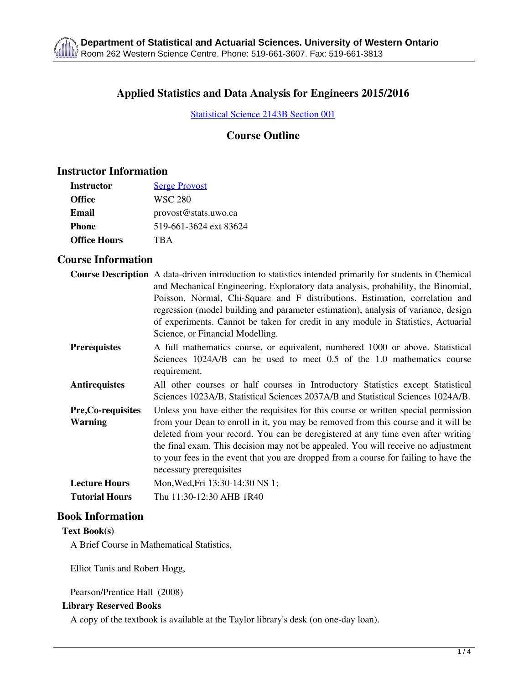# **Applied Statistics and Data Analysis for Engineers 2015/2016**

[Statistical Science 2143B Section 001](http://www.stats.uwo.ca/modules/undergraduate/section_page.php?section_id=433)

### **Course Outline**

### **Instructor Information**

| Instructor          | <b>Serge Provost</b>   |
|---------------------|------------------------|
| <b>Office</b>       | WSC 280                |
| Email               | provost@stats.uwo.ca   |
| <b>Phone</b>        | 519-661-3624 ext 83624 |
| <b>Office Hours</b> | TR A                   |

## **Course Information**

|                           | <b>Course Description</b> A data-driven introduction to statistics intended primarily for students in Chemical |
|---------------------------|----------------------------------------------------------------------------------------------------------------|
|                           | and Mechanical Engineering. Exploratory data analysis, probability, the Binomial,                              |
|                           | Poisson, Normal, Chi-Square and F distributions. Estimation, correlation and                                   |
|                           | regression (model building and parameter estimation), analysis of variance, design                             |
|                           | of experiments. Cannot be taken for credit in any module in Statistics, Actuarial                              |
|                           | Science, or Financial Modelling.                                                                               |
| <b>Prerequistes</b>       | A full mathematics course, or equivalent, numbered 1000 or above. Statistical                                  |
|                           | Sciences 1024A/B can be used to meet 0.5 of the 1.0 mathematics course                                         |
|                           | requirement.                                                                                                   |
| <b>Antirequistes</b>      | All other courses or half courses in Introductory Statistics except Statistical                                |
|                           | Sciences 1023A/B, Statistical Sciences 2037A/B and Statistical Sciences 1024A/B.                               |
| <b>Pre, Co-requisites</b> | Unless you have either the requisites for this course or written special permission                            |
| <b>Warning</b>            | from your Dean to enroll in it, you may be removed from this course and it will be                             |
|                           | deleted from your record. You can be deregistered at any time even after writing                               |
|                           | the final exam. This decision may not be appealed. You will receive no adjustment                              |
|                           | to your fees in the event that you are dropped from a course for failing to have the                           |
|                           | necessary prerequisites                                                                                        |
| <b>Lecture Hours</b>      | Mon, Wed, Fri 13:30-14:30 NS 1;                                                                                |
| <b>Tutorial Hours</b>     | Thu 11:30-12:30 AHB 1R40                                                                                       |
|                           |                                                                                                                |

#### **Book Information**

**Text Book(s)**

A Brief Course in Mathematical Statistics,

Elliot Tanis and Robert Hogg,

Pearson/Prentice Hall (2008)

#### **Library Reserved Books**

A copy of the textbook is available at the Taylor library's desk (on one-day loan).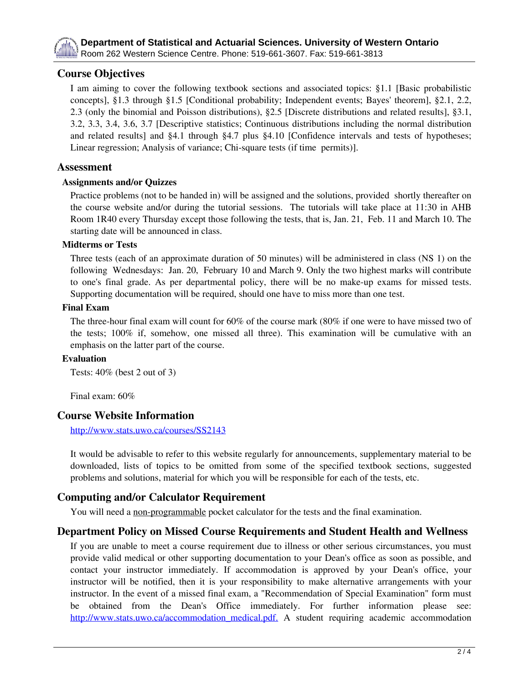

## **Course Objectives**

I am aiming to cover the following textbook sections and associated topics: §1.1 [Basic probabilistic concepts], §1.3 through §1.5 [Conditional probability; Independent events; Bayes' theorem], §2.1, 2.2, 2.3 (only the binomial and Poisson distributions), §2.5 [Discrete distributions and related results], §3.1, 3.2, 3.3, 3.4, 3.6, 3.7 [Descriptive statistics; Continuous distributions including the normal distribution and related results] and §4.1 through §4.7 plus §4.10 [Confidence intervals and tests of hypotheses; Linear regression; Analysis of variance; Chi-square tests (if time permits)].

### **Assessment**

#### **Assignments and/or Quizzes**

Practice problems (not to be handed in) will be assigned and the solutions, provided shortly thereafter on the course website and/or during the tutorial sessions. The tutorials will take place at 11:30 in AHB Room 1R40 every Thursday except those following the tests, that is, Jan. 21, Feb. 11 and March 10. The starting date will be announced in class.

#### **Midterms or Tests**

Three tests (each of an approximate duration of 50 minutes) will be administered in class (NS 1) on the following Wednesdays: Jan. 20, February 10 and March 9. Only the two highest marks will contribute to one's final grade. As per departmental policy, there will be no make-up exams for missed tests. Supporting documentation will be required, should one have to miss more than one test.

#### **Final Exam**

The three-hour final exam will count for 60% of the course mark (80% if one were to have missed two of the tests; 100% if, somehow, one missed all three). This examination will be cumulative with an emphasis on the latter part of the course.

#### **Evaluation**

Tests: 40% (best 2 out of 3)

Final exam: 60%

### **Course Website Information**

<http://www.stats.uwo.ca/courses/SS2143>

It would be advisable to refer to this website regularly for announcements, supplementary material to be downloaded, lists of topics to be omitted from some of the specified textbook sections, suggested problems and solutions, material for which you will be responsible for each of the tests, etc.

### **Computing and/or Calculator Requirement**

You will need a non-programmable pocket calculator for the tests and the final examination.

### **Department Policy on Missed Course Requirements and Student Health and Wellness**

If you are unable to meet a course requirement due to illness or other serious circumstances, you must provide valid medical or other supporting documentation to your Dean's office as soon as possible, and contact your instructor immediately. If accommodation is approved by your Dean's office, your instructor will be notified, then it is your responsibility to make alternative arrangements with your instructor. In the event of a missed final exam, a "Recommendation of Special Examination" form must be obtained from the Dean's Office immediately. For further information please see: [http://www.stats.uwo.ca/accommodation\\_medical.pdf.](http://www.stats.uwo.ca/accommodation_medical.pdf) A student requiring academic accommodation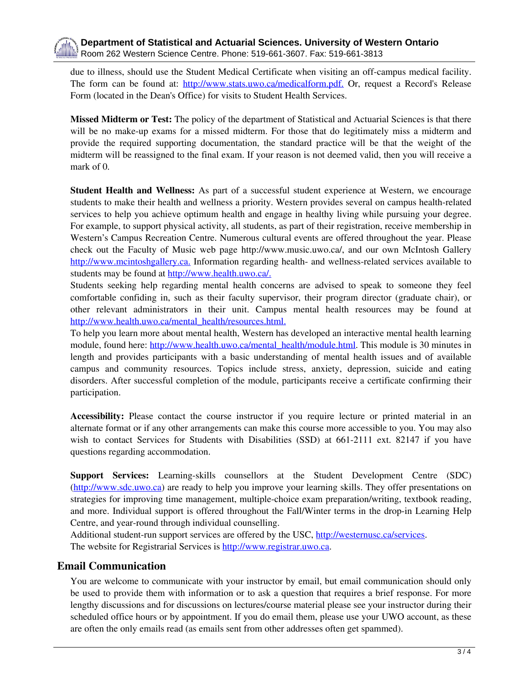due to illness, should use the Student Medical Certificate when visiting an off-campus medical facility. The form can be found at: [http://www.stats.uwo.ca/medicalform.pdf.](http://www.stats.uwo.ca/medicalform.pdf) Or, request a Record's Release Form (located in the Dean's Office) for visits to Student Health Services.

**Missed Midterm or Test:** The policy of the department of Statistical and Actuarial Sciences is that there will be no make-up exams for a missed midterm. For those that do legitimately miss a midterm and provide the required supporting documentation, the standard practice will be that the weight of the midterm will be reassigned to the final exam. If your reason is not deemed valid, then you will receive a mark of 0.

**Student Health and Wellness:** As part of a successful student experience at Western, we encourage students to make their health and wellness a priority. Western provides several on campus health-related services to help you achieve optimum health and engage in healthy living while pursuing your degree. For example, to support physical activity, all students, as part of their registration, receive membership in Western's Campus Recreation Centre. Numerous cultural events are offered throughout the year. Please check out the Faculty of Music web page http://www.music.uwo.ca/, and our own McIntosh Gallery [http://www.mcintoshgallery.ca.](http://www.mcintoshgallery.ca) Information regarding health- and wellness-related services available to students may be found at [http://www.health.uwo.ca/.](http://www.health.uwo.ca)

Students seeking help regarding mental health concerns are advised to speak to someone they feel comfortable confiding in, such as their faculty supervisor, their program director (graduate chair), or other relevant administrators in their unit. Campus mental health resources may be found at [http://www.health.uwo.ca/mental\\_health/resources.html.](http://www.health.uwo.ca/mental_health/resources.html)

To help you learn more about mental health, Western has developed an interactive mental health learning module, found here: [http://www.health.uwo.ca/mental\\_health/module.html.](http://www.health.uwo.ca/mental_health/module.html) This module is 30 minutes in length and provides participants with a basic understanding of mental health issues and of available campus and community resources. Topics include stress, anxiety, depression, suicide and eating disorders. After successful completion of the module, participants receive a certificate confirming their participation.

**Accessibility:** Please contact the course instructor if you require lecture or printed material in an alternate format or if any other arrangements can make this course more accessible to you. You may also wish to contact Services for Students with Disabilities (SSD) at 661-2111 ext. 82147 if you have questions regarding accommodation.

**Support Services:** Learning-skills counsellors at the Student Development Centre (SDC) [\(http://www.sdc.uwo.ca\)](http://www.sdc.uwo.ca) are ready to help you improve your learning skills. They offer presentations on strategies for improving time management, multiple-choice exam preparation/writing, textbook reading, and more. Individual support is offered throughout the Fall/Winter terms in the drop-in Learning Help Centre, and year-round through individual counselling.

Additional student-run support services are offered by the USC, [http://westernusc.ca/services.](http://westernusc.ca/services) The website for Registrarial Services is <http://www.registrar.uwo.ca>.

### **Email Communication**

You are welcome to communicate with your instructor by email, but email communication should only be used to provide them with information or to ask a question that requires a brief response. For more lengthy discussions and for discussions on lectures/course material please see your instructor during their scheduled office hours or by appointment. If you do email them, please use your UWO account, as these are often the only emails read (as emails sent from other addresses often get spammed).